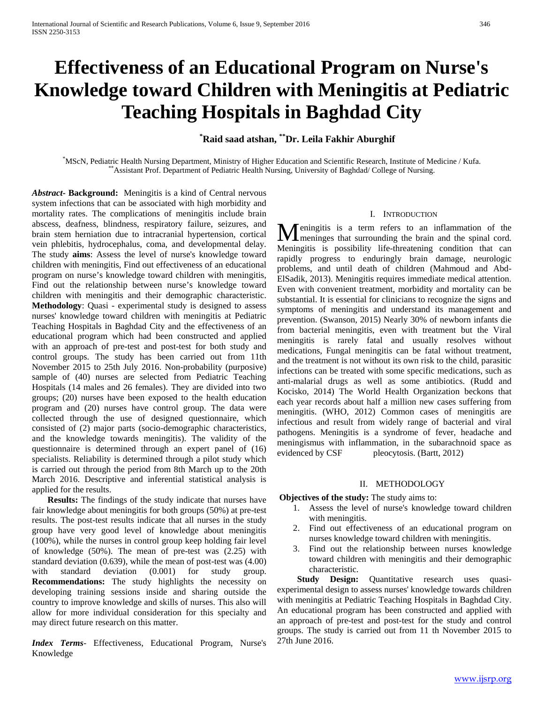# **Effectiveness of an Educational Program on Nurse's Knowledge toward Children with Meningitis at Pediatric Teaching Hospitals in Baghdad City**

# **\* Raid saad atshan, \*\*Dr. Leila Fakhir Aburghif**

\*MScN, Pediatric Health Nursing Department, Ministry of Higher Education and Scientific Research, Institute of Medicine / Kufa.<br>\*\*\*Assistant Prof. Department of Pediatric Health Nursing, University of Baghdad/College of Nu

*Abstract***- Background:** Meningitis is a kind of Central nervous system infections that can be associated with high morbidity and mortality rates. The complications of meningitis include brain abscess, deafness, blindness, respiratory failure, seizures, and brain stem herniation due to intracranial hypertension, cortical vein phlebitis, hydrocephalus, coma, and developmental delay. The study **aims**: Assess the level of nurse's knowledge toward children with meningitis, Find out effectiveness of an educational program on nurse's knowledge toward children with meningitis, Find out the relationship between nurse's knowledge toward children with meningitis and their demographic characteristic. **Methodology**: Quasi - experimental study is designed to assess nurses' knowledge toward children with meningitis at Pediatric Teaching Hospitals in Baghdad City and the effectiveness of an educational program which had been constructed and applied with an approach of pre-test and post-test for both study and control groups. The study has been carried out from 11th November 2015 to 25th July 2016. Non-probability (purposive) sample of (40) nurses are selected from Pediatric Teaching Hospitals (14 males and 26 females). They are divided into two groups; (20) nurses have been exposed to the health education program and (20) nurses have control group. The data were collected through the use of designed questionnaire, which consisted of (2) major parts (socio-demographic characteristics, and the knowledge towards meningitis). The validity of the questionnaire is determined through an expert panel of (16) specialists. Reliability is determined through a pilot study which is carried out through the period from 8th March up to the 20th March 2016. Descriptive and inferential statistical analysis is applied for the results.

 **Results:** The findings of the study indicate that nurses have fair knowledge about meningitis for both groups (50%) at pre-test results. The post-test results indicate that all nurses in the study group have very good level of knowledge about meningitis (100%), while the nurses in control group keep holding fair level of knowledge (50%). The mean of pre-test was (2.25) with standard deviation (0.639), while the mean of post-test was (4.00) with standard deviation (0.001) for study group. **Recommendations:** The study highlights the necessity on developing training sessions inside and sharing outside the country to improve knowledge and skills of nurses. This also will allow for more individual consideration for this specialty and may direct future research on this matter.

*Index Terms*- Effectiveness, Educational Program, Nurse's Knowledge

#### I. INTRODUCTION

eningitis is a term refers to an inflammation of the **M**eninges that surrounding the brain and the spinal cord. Meningitis is possibility life-threatening condition that can rapidly progress to enduringly brain damage, neurologic problems, and until death of children (Mahmoud and Abd-ElSadik, 2013). Meningitis requires immediate medical attention. Even with convenient treatment, morbidity and mortality can be substantial. It is essential for clinicians to recognize the signs and symptoms of meningitis and understand its management and prevention. (Swanson, 2015) Nearly 30% of newborn infants die from bacterial meningitis, even with treatment but the Viral meningitis is rarely fatal and usually resolves without medications, Fungal meningitis can be fatal without treatment, and the treatment is not without its own risk to the child, parasitic infections can be treated with some specific medications, such as anti-malarial drugs as well as some antibiotics. (Rudd and Kocisko, 2014) The World Health Organization beckons that each year records about half a million new cases suffering from meningitis. (WHO, 2012) Common cases of meningitis are infectious and result from widely range of bacterial and viral pathogens. Meningitis is a syndrome of fever, headache and meningismus with inflammation, in the subarachnoid space as evidenced by CSF pleocytosis. (Bartt, 2012)

## II. METHODOLOGY

#### **Objectives of the study:** The study aims to:

- 1. Assess the level of nurse's knowledge toward children with meningitis.
- 2. Find out effectiveness of an educational program on nurses knowledge toward children with meningitis.
- 3. Find out the relationship between nurses knowledge toward children with meningitis and their demographic characteristic.

 **Study Design:** Quantitative research uses quasiexperimental design to assess nurses' knowledge towards children with meningitis at Pediatric Teaching Hospitals in Baghdad City. An educational program has been constructed and applied with an approach of pre-test and post-test for the study and control groups. The study is carried out from 11 th November 2015 to 27th June 2016.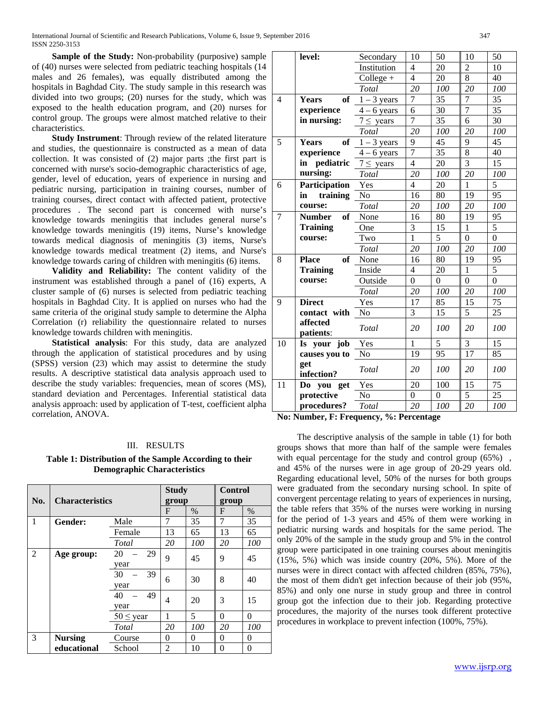**Sample of the Study:** Non-probability (purposive) sample of (40) nurses were selected from pediatric teaching hospitals (14 males and 26 females), was equally distributed among the hospitals in Baghdad City. The study sample in this research was divided into two groups; (20) nurses for the study, which was exposed to the health education program, and (20) nurses for control group. The groups were almost matched relative to their characteristics.

 **Study Instrument**: Through review of the related literature and studies, the questionnaire is constructed as a mean of data collection. It was consisted of (2) major parts ;the first part is concerned with nurse's socio-demographic characteristics of age, gender, level of education, years of experience in nursing and pediatric nursing, participation in training courses, number of training courses, direct contact with affected patient, protective procedures . The second part is concerned with nurse's knowledge towards meningitis that includes general nurse's knowledge towards meningitis (19) items, Nurse's knowledge towards medical diagnosis of meningitis (3) items, Nurse's knowledge towards medical treatment (2) items, and Nurse's knowledge towards caring of children with meningitis (6) items.

 **Validity and Reliability:** The content validity of the instrument was established through a panel of (16) experts, A cluster sample of (6) nurses is selected from pediatric teaching hospitals in Baghdad City. It is applied on nurses who had the same criteria of the original study sample to determine the Alpha Correlation (r) reliability the questionnaire related to nurses knowledge towards children with meningitis.

 **Statistical analysis**: For this study, data are analyzed through the application of statistical procedures and by using (SPSS) version (23) which may assist to determine the study results. A descriptive statistical data analysis approach used to describe the study variables: frequencies, mean of scores (MS), standard deviation and Percentages. Inferential statistical data analysis approach: used by application of T-test, coefficient alpha correlation, ANOVA.

## III. RESULTS

## **Table 1: Distribution of the Sample According to their Demographic Characteristics**

|     |                        |                | <b>Study</b> |      | Control |          |  |  |  |
|-----|------------------------|----------------|--------------|------|---------|----------|--|--|--|
| No. | <b>Characteristics</b> |                | group        |      | group   |          |  |  |  |
|     |                        |                | F            | $\%$ | F       | $\%$     |  |  |  |
| 1   | Gender:                | Male           | 7            | 35   | 7       | 35       |  |  |  |
|     |                        | Female         | 13           | 65   | 13      | 65       |  |  |  |
|     |                        | Total          | 20           | 100  | 20      | 100      |  |  |  |
| 2   | Age group:             | 29<br>20       | 9            | 45   | 9       | 45       |  |  |  |
|     |                        | year           |              |      |         |          |  |  |  |
|     |                        | 39<br>30       | 6            | 30   | 8       | 40       |  |  |  |
|     |                        | year           |              |      |         |          |  |  |  |
|     |                        | 49<br>40       | 4            | 20   | 3       | 15       |  |  |  |
|     |                        | year           |              |      |         |          |  |  |  |
|     |                        | $50 \leq$ year |              | 5    | 0       | $\Omega$ |  |  |  |
|     |                        | Total          | 20           | 100  | 20      | 100      |  |  |  |
| 3   | <b>Nursing</b>         | Course         | 0            | 0    | 0       | 0        |  |  |  |
|     | educational            | School         | 2            | 10   | 0       | $\theta$ |  |  |  |

|    | level:                        | Secondary      | 10              | 50             | 10              | 50             |
|----|-------------------------------|----------------|-----------------|----------------|-----------------|----------------|
|    |                               | Institution    | $\overline{4}$  | 20             | $\overline{c}$  | 10             |
|    |                               | $Collect +$    | $\overline{4}$  | 20             | 8               | 40             |
|    |                               | Total          | 20              | 100            | 20              | 100            |
| 4  | of<br><b>Years</b>            | $1 - 3$ years  | 7               | 35             | $\overline{7}$  | 35             |
|    | experience                    | $4 - 6$ years  | $\overline{6}$  | 30             | $\overline{7}$  | 35             |
|    | in nursing:                   | $7 \leq$ years | 7               | 35             | 6               | 30             |
|    |                               | Total          | 20              | 100            | 20              | 100            |
| 5  | <sub>of</sub><br><b>Years</b> | $1 - 3$ years  | 9               | 45             | 9               | 45             |
|    | experience                    | $4 - 6$ years  | $\overline{7}$  | 35             | $\overline{8}$  | 40             |
|    | in pediatric                  | $7 \leq$ years | $\overline{4}$  | 20             | $\overline{3}$  | 15             |
|    | nursing:                      | Total          | $\overline{20}$ | 100            | 20              | 100            |
| 6  | Participation                 | Yes            | $\overline{4}$  | 20             | $\mathbf{1}$    | 5              |
|    | training<br>in                | N <sub>o</sub> | 16              | 80             | 19              | 95             |
|    | course:                       | Total          | 20              | 100            | 20              | 100            |
| 7  | <b>of</b><br><b>Number</b>    | None           | 16              | 80             | 19              | 95             |
|    | <b>Training</b>               | One            | 3               | 15             | $\mathbf{1}$    | 5              |
|    | course:                       | Two            | $\overline{1}$  | $\overline{5}$ | $\overline{0}$  | $\overline{0}$ |
|    |                               | Total          | $\overline{20}$ | 100            | $\overline{20}$ | 100            |
| 8  | of<br><b>Place</b>            | None           | 16              | 80             | 19              | 95             |
|    | <b>Training</b>               | Inside         | $\overline{4}$  | 20             | $\mathbf{1}$    | 5              |
|    | course:                       | Outside        | $\overline{0}$  | $\overline{0}$ | $\overline{0}$  | $\overline{0}$ |
|    |                               | Total          | 20              | 100            | 20              | 100            |
| 9  | <b>Direct</b>                 | Yes            | 17              | 85             | 15              | 75             |
|    | contact with                  | N <sub>o</sub> | 3               | 15             | $\overline{5}$  | 25             |
|    | affected<br>patients:         | Total          | 20              | 100            | 20              | 100            |
| 10 | Is your job                   | Yes            | $\overline{1}$  | $\overline{5}$ | $\overline{3}$  | 15             |
|    | causes you to                 | N <sub>o</sub> | 19              | 95             | 17              | 85             |
|    | get<br>infection?             | Total          | 20              | 100            | 20              | 100            |
| 11 | Do you get                    | Yes            | 20              | 100            | 15              | 75             |
|    | protective                    | N <sub>o</sub> | $\theta$        | $\theta$       | 5               | 25             |
|    | procedures?                   | Total          | $\overline{20}$ | 100            | $\overline{20}$ | 100            |

**No: Number, F: Frequency, %: Percentage**

 The descriptive analysis of the sample in table (1) for both groups shows that more than half of the sample were females with equal percentage for the study and control group (65%), and 45% of the nurses were in age group of 20-29 years old. Regarding educational level, 50% of the nurses for both groups were graduated from the secondary nursing school. In spite of convergent percentage relating to years of experiences in nursing, the table refers that 35% of the nurses were working in nursing for the period of 1-3 years and 45% of them were working in pediatric nursing wards and hospitals for the same period. The only 20% of the sample in the study group and 5% in the control group were participated in one training courses about meningitis (15%, 5%) which was inside country (20%, 5%). More of the nurses were in direct contact with affected children (85%, 75%), the most of them didn't get infection because of their job (95%, 85%) and only one nurse in study group and three in control group got the infection due to their job. Regarding protective procedures, the majority of the nurses took different protective procedures in workplace to prevent infection (100%, 75%).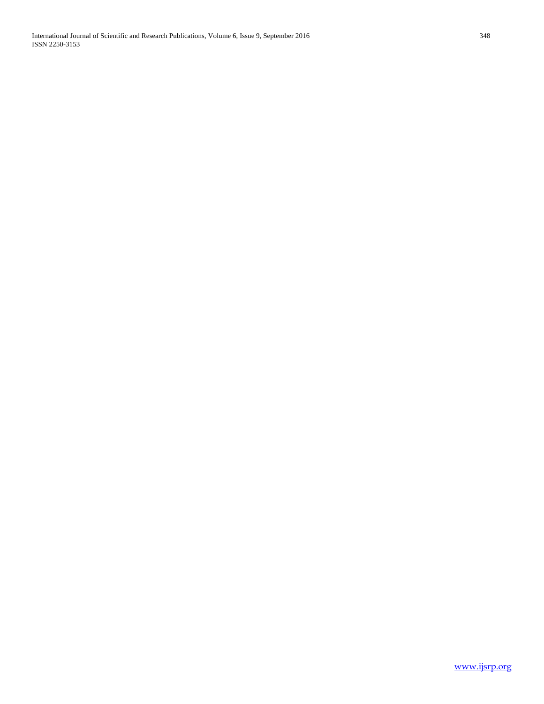International Journal of Scientific and Research Publications, Volume 6, Issue 9, September 2016 348 ISSN 2250-3153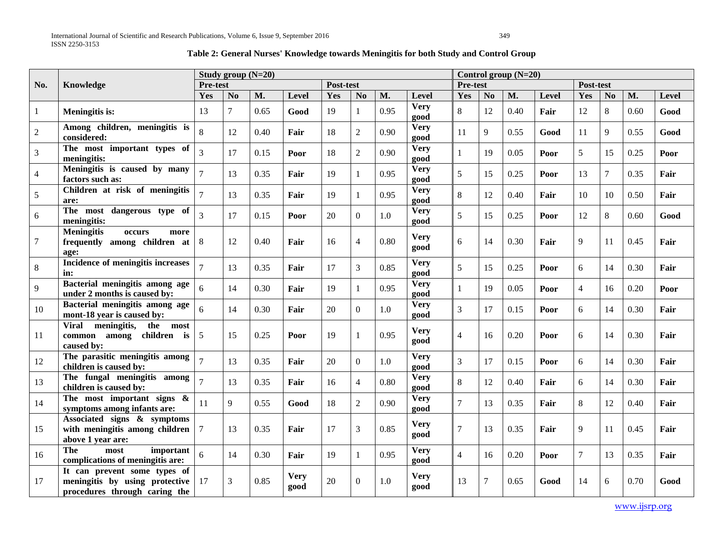|                |                                                                                                 |                |                | Study group $(N=20)$ |                     |           |                |         |                     |                |    | Control group $(N=20)$ |       |                |                |      |              |
|----------------|-------------------------------------------------------------------------------------------------|----------------|----------------|----------------------|---------------------|-----------|----------------|---------|---------------------|----------------|----|------------------------|-------|----------------|----------------|------|--------------|
| No.            | Knowledge                                                                                       | Pre-test       |                |                      |                     | Post-test |                |         |                     | Pre-test       |    |                        |       | Post-test      |                |      |              |
|                |                                                                                                 | Yes            | N <sub>o</sub> | M.                   | Level               | Yes       | N <sub>o</sub> | M.      | Level               | Yes            | No | M.                     | Level | Yes            | N <sub>0</sub> | M.   | <b>Level</b> |
| $\mathbf{1}$   | <b>Meningitis is:</b>                                                                           | 13             | $\tau$         | 0.65                 | Good                | 19        | $\mathbf{1}$   | 0.95    | <b>Very</b><br>good | 8              | 12 | 0.40                   | Fair  | 12             | 8              | 0.60 | Good         |
| $\overline{2}$ | Among children, meningitis is<br>considered:                                                    | 8              | 12             | 0.40                 | Fair                | 18        | $\overline{2}$ | 0.90    | <b>Very</b><br>good | 11             | 9  | 0.55                   | Good  | 11             | 9              | 0.55 | Good         |
| $\overline{3}$ | The most important types of<br>meningitis:                                                      | 3              | 17             | 0.15                 | Poor                | 18        | $\overline{2}$ | 0.90    | <b>Very</b><br>good | 1              | 19 | 0.05                   | Poor  | 5              | 15             | 0.25 | Poor         |
| $\overline{4}$ | Meningitis is caused by many<br>factors such as:                                                |                | 13             | 0.35                 | Fair                | 19        | $\mathbf{1}$   | 0.95    | <b>Very</b><br>good | 5              | 15 | 0.25                   | Poor  | 13             | $\overline{7}$ | 0.35 | Fair         |
| 5              | Children at risk of meningitis<br>are:                                                          | $\overline{7}$ | 13             | 0.35                 | Fair                | 19        | $\mathbf{1}$   | 0.95    | <b>Very</b><br>good | 8              | 12 | 0.40                   | Fair  | 10             | 10             | 0.50 | Fair         |
| 6              | The most dangerous type of<br>meningitis:                                                       | 3              | 17             | 0.15                 | Poor                | 20        | $\overline{0}$ | 1.0     | <b>Very</b><br>good | 5              | 15 | 0.25                   | Poor  | 12             | 8              | 0.60 | Good         |
| $\tau$         | <b>Meningitis</b><br>occurs<br>more<br>frequently among children at<br>age:                     | 8              | 12             | 0.40                 | Fair                | 16        | $\overline{4}$ | 0.80    | <b>Very</b><br>good | 6              | 14 | 0.30                   | Fair  | 9              | 11             | 0.45 | Fair         |
| 8              | Incidence of meningitis increases<br>in:                                                        | $\overline{7}$ | 13             | 0.35                 | Fair                | 17        | $\overline{3}$ | 0.85    | <b>Very</b><br>good | 5              | 15 | 0.25                   | Poor  | 6              | 14             | 0.30 | Fair         |
| 9              | Bacterial meningitis among age<br>under 2 months is caused by:                                  | 6              | 14             | 0.30                 | Fair                | 19        | 1              | 0.95    | <b>Very</b><br>good |                | 19 | 0.05                   | Poor  | $\overline{4}$ | 16             | 0.20 | Poor         |
| 10             | Bacterial meningitis among age<br>mont-18 year is caused by:                                    | 6              | 14             | 0.30                 | Fair                | 20        | $\overline{0}$ | $1.0\,$ | <b>Very</b><br>200d | $\overline{3}$ | 17 | 0.15                   | Poor  | 6              | 14             | 0.30 | Fair         |
| 11             | Viral meningitis,<br>the most<br>common among children is<br>caused by:                         | 5              | 15             | 0.25                 | Poor                | 19        | 1              | 0.95    | <b>Very</b><br>good | $\overline{4}$ | 16 | 0.20                   | Poor  | 6              | 14             | 0.30 | Fair         |
| 12             | The parasitic meningitis among<br>children is caused by:                                        | $\overline{7}$ | 13             | 0.35                 | Fair                | 20        | $\overline{0}$ | 1.0     | <b>Very</b><br>good | $\overline{3}$ | 17 | 0.15                   | Poor  | 6              | 14             | 0.30 | Fair         |
| 13             | The fungal meningitis among<br>children is caused by:                                           | $\overline{7}$ | 13             | 0.35                 | Fair                | 16        | $\overline{4}$ | 0.80    | <b>Very</b><br>good | 8              | 12 | 0.40                   | Fair  | 6              | 14             | 0.30 | Fair         |
| 14             | The most important signs $\&$<br>symptoms among infants are:                                    | 11             | 9              | 0.55                 | Good                | 18        | $\overline{2}$ | 0.90    | <b>Very</b><br>good | 7              | 13 | 0.35                   | Fair  | 8              | 12             | 0.40 | Fair         |
| 15             | Associated signs & symptoms<br>with meningitis among children<br>above 1 year are:              |                | 13             | 0.35                 | Fair                | 17        | 3              | 0.85    | <b>Very</b><br>good | 7              | 13 | 0.35                   | Fair  | 9              | 11             | 0.45 | Fair         |
| 16             | <b>The</b><br>important<br>most<br>complications of meningitis are:                             | 6              | 14             | 0.30                 | Fair                | 19        | $\mathbf{1}$   | 0.95    | <b>Very</b><br>good | $\overline{4}$ | 16 | 0.20                   | Poor  | $\overline{7}$ | 13             | 0.35 | Fair         |
| 17             | It can prevent some types of<br>meningitis by using protective<br>procedures through caring the | 17             | 3              | 0.85                 | <b>Very</b><br>good | 20        | $\mathbf{0}$   | 1.0     | <b>Very</b><br>good | 13             | 7  | 0.65                   | Good  | 14             | 6              | 0.70 | Good         |

# **Table 2: General Nurses' Knowledge towards Meningitis for both Study and Control Group**

[www.ijsrp.org](http://ijsrp.org/)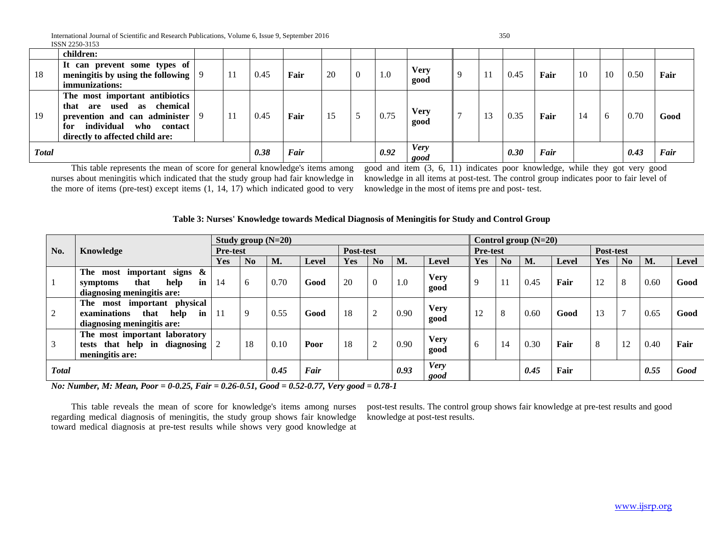International Journal of Scientific and Research Publications, Volume 6, Issue 9, September 2016 350 ISSN 2250-3153

|              | children:                                                                                                                                                                          |     |      |      |    |          |      |                     |   |      |      |    |          |      |      |
|--------------|------------------------------------------------------------------------------------------------------------------------------------------------------------------------------------|-----|------|------|----|----------|------|---------------------|---|------|------|----|----------|------|------|
| 18           | It can prevent some types of<br>meningitis by using the following<br><i>immunizations:</i>                                                                                         | - 9 | 0.45 | Fair | 20 | $\Omega$ | 1.0  | <b>Very</b><br>good | Q | 0.45 | Fair | 10 | 10       | 0.50 | Fair |
| 19           | The most important antibiotics<br>that<br>chemical<br>used<br>are<br>as<br>prevention and can administer<br>individual<br>who<br>for<br>contact<br>directly to affected child are: |     | 0.45 | Fair | 15 |          | 0.75 | <b>Very</b><br>good |   | 0.35 | Fair | 14 | $\sigma$ | 0.70 | Good |
| <b>Total</b> |                                                                                                                                                                                    |     | 0.38 | Fair |    |          | 0.92 | <b>Very</b><br>good |   | 0.30 | Fair |    |          | 0.43 | Fair |

 This table represents the mean of score for general knowledge's items among nurses about meningitis which indicated that the study group had fair knowledge in the more of items (pre-test) except items (1, 14, 17) which indicated good to very

good and item (3, 6, 11) indicates poor knowledge, while they got very good knowledge in all items at post-test. The control group indicates poor to fair level of knowledge in the most of items pre and post- test.

## **Table 3: Nurses' Knowledge towards Medical Diagnosis of Meningitis for Study and Control Group**

|              |                                                                                                       |                 |    | Study group $(N=20)$ |              |            |                |      |                     |                 |                | Control group $(N=20)$ |              |            |                |      |             |
|--------------|-------------------------------------------------------------------------------------------------------|-----------------|----|----------------------|--------------|------------|----------------|------|---------------------|-----------------|----------------|------------------------|--------------|------------|----------------|------|-------------|
| No.          | Knowledge                                                                                             | <b>Pre-test</b> |    |                      |              | Post-test  |                |      |                     | <b>Pre-test</b> |                |                        |              | Post-test  |                |      |             |
|              |                                                                                                       |                 | No | M.                   | <b>Level</b> | <b>Yes</b> | N <sub>o</sub> | M.   | <b>Level</b>        | <b>Yes</b>      | N <sub>0</sub> | M.                     | <b>Level</b> | <b>Yes</b> | N <sub>0</sub> | M.   | Level       |
|              | The<br>important signs $\&$<br>most<br>help<br>that<br>symptoms<br>in<br>diagnosing meningitis are:   | 14              | 6  | 0.70                 | Good         | 20         | $\theta$       | 1.0  | <b>Very</b><br>good | 9               |                | 0.45                   | Fair         | 12         | 8              | 0.60 | Good        |
|              | important physical<br>The<br>most<br>examinations<br>that<br>help<br>in<br>diagnosing meningitis are: | 11              | 9  | 0.55                 | Good         | 18         | 2              | 0.90 | <b>Very</b><br>good | 12              | 8              | 0.60                   | Good         | 13         | $\mathbf{r}$   | 0.65 | Good        |
|              | The most important laboratory<br>diagnosing<br>that help in<br>tests<br>meningitis are:               |                 | 18 | 0.10                 | Poor         | 18         | 2              | 0.90 | <b>Very</b><br>good | 6               | 14             | 0.30                   | Fair         | 8          | 12             | 0.40 | Fair        |
| <b>Total</b> |                                                                                                       |                 |    | 0.45                 | Fair         |            |                | 0.93 | <b>Very</b><br>good |                 |                | 0.45                   | Fair         |            |                | 0.55 | <b>Good</b> |

*No: Number, M: Mean, Poor = 0-0.25, Fair = 0.26-0.51, Good = 0.52-0.77, Very good = 0.78-1*

 This table reveals the mean of score for knowledge's items among nurses regarding medical diagnosis of meningitis, the study group shows fair knowledge toward medical diagnosis at pre-test results while shows very good knowledge at

post-test results. The control group shows fair knowledge at pre-test results and good knowledge at post-test results.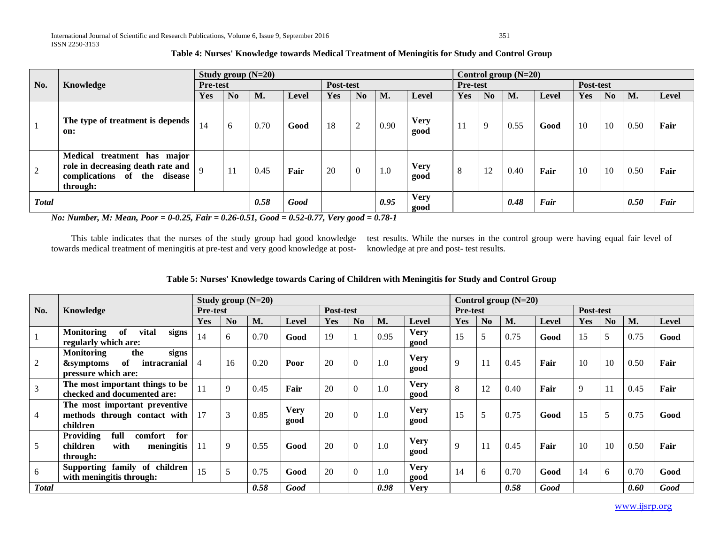|                | Knowledge                                                                                                                    |                 |                | Study group $(N=20)$ |       |            |                |           |                     | Control group $(N=20)$ |                |      |              |           |    |      |              |  |
|----------------|------------------------------------------------------------------------------------------------------------------------------|-----------------|----------------|----------------------|-------|------------|----------------|-----------|---------------------|------------------------|----------------|------|--------------|-----------|----|------|--------------|--|
| No.            |                                                                                                                              | <b>Pre-test</b> |                |                      |       | Post-test  |                |           |                     | <b>Pre-test</b>        |                |      |              | Post-test |    |      |              |  |
|                |                                                                                                                              | Yes             | N <sub>0</sub> | M.                   | Level | <b>Yes</b> | N <sub>0</sub> | <b>M.</b> | Level               | <b>Yes</b>             | N <sub>0</sub> | M.   | <b>Level</b> | Yes       | No | M.   | <b>Level</b> |  |
| $\mathbf{1}$   | The type of treatment is depends<br>on:                                                                                      | 14              |                | 0.70                 | Good  | 18         |                | 0.90      | <b>Very</b><br>good |                        | -9             | 0.55 | Good         | 10        | 10 | 0.50 | Fair         |  |
| $\overline{2}$ | <b>Medical</b><br>treatment has major<br>role in decreasing death rate and<br>complications of<br>the<br>disease<br>through: |                 |                | 0.45                 | Fair  | 20         | 0              | 1.0       | <b>Very</b><br>good | 8                      | 12             | 0.40 | Fair         | 10        | 10 | 0.50 | Fair         |  |
| <b>Total</b>   |                                                                                                                              |                 |                | 0.58                 | Good  |            |                | 0.95      | <b>Very</b><br>good |                        |                | 0.48 | Fair         |           |    | 0.50 | Fair         |  |

## **Table 4: Nurses' Knowledge towards Medical Treatment of Meningitis for Study and Control Group**

*No: Number, M: Mean, Poor = 0-0.25, Fair = 0.26-0.51, Good = 0.52-0.77, Very good = 0.78-1*

towards medical treatment of meningitis at pre-test and very good knowledge at post-

 This table indicates that the nurses of the study group had good knowledge test results. While the nurses in the control group were having equal fair level of knowledge at pre and post- test results.

# **Table 5: Nurses' Knowledge towards Caring of Children with Meningitis for Study and Control Group**

|                |                                                                                                        |                 |    | Study group $(N=20)$ |                     |                  |                |      |                     |                 |                | Control group $(N=20)$ |              |           |                |           |              |
|----------------|--------------------------------------------------------------------------------------------------------|-----------------|----|----------------------|---------------------|------------------|----------------|------|---------------------|-----------------|----------------|------------------------|--------------|-----------|----------------|-----------|--------------|
| No.            | Knowledge                                                                                              | <b>Pre-test</b> |    |                      |                     | <b>Post-test</b> |                |      |                     | <b>Pre-test</b> |                |                        |              | Post-test |                |           |              |
|                |                                                                                                        | Yes             | No | M.                   | <b>Level</b>        | Yes              | N <sub>0</sub> | M.   | Level               | <b>Yes</b>      | N <sub>0</sub> | M.                     | <b>Level</b> | Yes       | N <sub>0</sub> | <b>M.</b> | <b>Level</b> |
|                | <b>Monitoring</b><br>of<br>vital<br>signs<br>regularly which are:                                      | 14              | 6  | 0.70                 | Good                | 19               |                | 0.95 | <b>Very</b><br>good | 15              | 5              | 0.75                   | Good         | 15        | 5              | 0.75      | Good         |
| 2              | signs<br><b>Monitoring</b><br>the<br>of<br>intracranial<br><b>&amp;symptoms</b><br>pressure which are: | $\overline{4}$  | 16 | 0.20                 | Poor                | 20               | $\mathbf{0}$   | 1.0  | <b>Very</b><br>good | 9               | 11             | 0.45                   | Fair         | 10        | 10             | 0.50      | Fair         |
| 3              | The most important things to be<br>checked and documented are:                                         | 11              | 9  | 0.45                 | Fair                | 20               | $\Omega$       | 1.0  | <b>Very</b><br>good | 8               | 12             | 0.40                   | Fair         | 9         | 11             | 0.45      | Fair         |
| $\overline{4}$ | The most important preventive<br>methods through contact with<br>children                              | 17              | 3  | 0.85                 | <b>Very</b><br>good | 20               | $\mathbf{0}$   | 1.0  | <b>Very</b><br>good | 15              | 5              | 0.75                   | Good         | 15        | 5              | 0.75      | Good         |
| 5              | full<br>Providing<br>comfort<br>for<br>children<br>with<br>meningitis<br>through:                      |                 | 9  | 0.55                 | Good                | 20               | $\Omega$       | 1.0  | <b>Very</b><br>good | 9               | 11             | 0.45                   | Fair         | 10        | 10             | 0.50      | Fair         |
| 6              | Supporting family of children<br>with meningitis through:                                              | 15              | 5  | 0.75                 | Good                | 20               | $\Omega$       | 1.0  | <b>Very</b><br>good | 14              | 6              | 0.70                   | Good         | 14        | 6              | 0.70      | Good         |
| <b>Total</b>   |                                                                                                        |                 |    | 0.58                 | <b>Good</b>         |                  |                | 0.98 | <b>Very</b>         |                 |                | 0.58                   | Good         |           |                | 0.60      | Good         |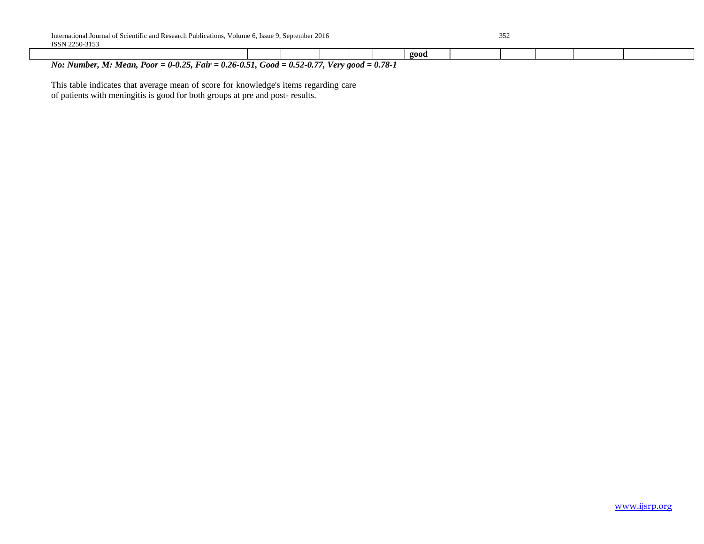*No: Number, M: Mean, Poor = 0-0.25, Fair = 0.26-0.51, Good = 0.52-0.77, Very good = 0.78-1*

This table indicates that average mean of score for knowledge's items regarding care of patients with meningitis is good for both groups at pre and post- results.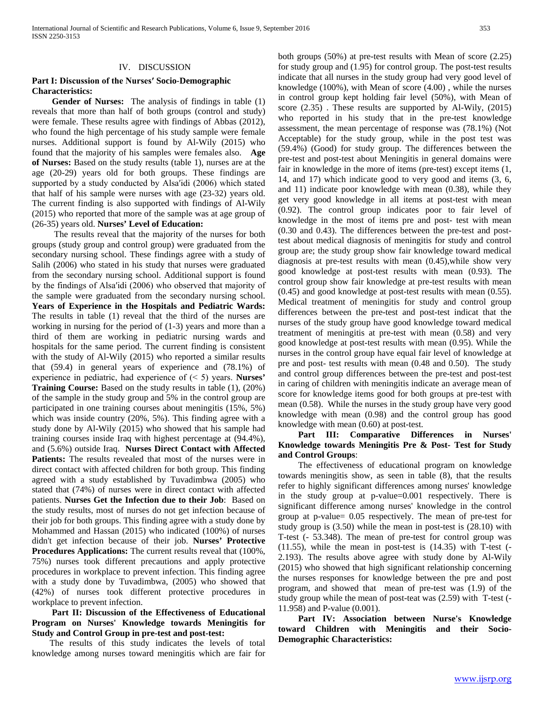#### IV. DISCUSSION

## **Part I: Discussion of the Nurses′ Socio**-**Demographic Characteristics:**

 **Gender of Nurses:** The analysis of findings in table (1) reveals that more than half of both groups (control and study) were female. These results agree with findings of Abbas (2012), who found the high percentage of his study sample were female nurses. Additional support is found by Al-Wily (2015) who found that the majority of his samples were females also. **Age of Nurses:** Based on the study results (table 1), nurses are at the age (20-29) years old for both groups. These findings are supported by a study conducted by Alsa′idi (2006) which stated that half of his sample were nurses with age (23-32) years old. The current finding is also supported with findings of Al-Wily (2015) who reported that more of the sample was at age group of (26-35) years old. **Nurses' Level of Education:**

 The results reveal that the majority of the nurses for both groups (study group and control group) were graduated from the secondary nursing school. These findings agree with a study of Salih (2006) who stated in his study that nurses were graduated from the secondary nursing school. Additional support is found by the findings of Alsa′idi (2006) who observed that majority of the sample were graduated from the secondary nursing school. **Years of Experience in the Hospitals and Pediatric Wards:** The results in table (1) reveal that the third of the nurses are working in nursing for the period of (1-3) years and more than a third of them are working in pediatric nursing wards and hospitals for the same period. The current finding is consistent with the study of Al-Wily (2015) who reported a similar results that (59.4) in general years of experience and (78.1%) of experience in pediatric, had experience of (˂ 5) years. **Nurses' Training Course:** Based on the study results in table (1), (20%) of the sample in the study group and 5% in the control group are participated in one training courses about meningitis (15%, 5%) which was inside country (20%, 5%). This finding agree with a study done by Al-Wily (2015) who showed that his sample had training courses inside Iraq with highest percentage at (94.4%), and (5.6%) outside Iraq. **Nurses Direct Contact with Affected**  Patients: The results revealed that most of the nurses were in direct contact with affected children for both group. This finding agreed with a study established by Tuvadimbwa (2005) who stated that (74%) of nurses were in direct contact with affected patients. **Nurses Get the Infection due to their Job**: Based on the study results, most of nurses do not get infection because of their job for both groups. This finding agree with a study done by Mohammed and Hassan (2015) who indicated (100%) of nurses didn't get infection because of their job. **Nurses' Protective Procedures Applications:** The current results reveal that (100%, 75%) nurses took different precautions and apply protective procedures in workplace to prevent infection. This finding agree with a study done by Tuvadimbwa, (2005) who showed that (42%) of nurses took different protective procedures in workplace to prevent infection.

 **Part II: Discussion of the Effectiveness of Educational Program on Nurses' Knowledge towards Meningitis for Study and Control Group in pre-test and post-test:**

 The results of this study indicates the levels of total knowledge among nurses toward meningitis which are fair for both groups (50%) at pre-test results with Mean of score (2.25) for study group and (1.95) for control group. The post-test results indicate that all nurses in the study group had very good level of knowledge (100%), with Mean of score (4.00) , while the nurses in control group kept holding fair level (50%), with Mean of score (2.35) . These results are supported by Al-Wily, (2015) who reported in his study that in the pre-test knowledge assessment, the mean percentage of response was (78.1%) (Not Acceptable) for the study group, while in the post test was (59.4%) (Good) for study group. The differences between the pre-test and post-test about Meningitis in general domains were fair in knowledge in the more of items (pre-test) except items (1, 14, and 17) which indicate good to very good and items (3, 6, and 11) indicate poor knowledge with mean (0.38), while they get very good knowledge in all items at post-test with mean (0.92). The control group indicates poor to fair level of knowledge in the most of items pre and post- test with mean (0.30 and 0.43). The differences between the pre-test and posttest about medical diagnosis of meningitis for study and control group are; the study group show fair knowledge toward medical diagnosis at pre-test results with mean (0.45),while show very good knowledge at post-test results with mean (0.93). The control group show fair knowledge at pre-test results with mean (0.45) and good knowledge at post-test results with mean (0.55). Medical treatment of meningitis for study and control group differences between the pre-test and post-test indicat that the nurses of the study group have good knowledge toward medical treatment of meningitis at pre-test with mean (0.58) and very good knowledge at post-test results with mean (0.95). While the nurses in the control group have equal fair level of knowledge at pre and post- test results with mean (0.48 and 0.50). The study and control group differences between the pre-test and post-test in caring of children with meningitis indicate an average mean of score for knowledge items good for both groups at pre-test with mean (0.58). While the nurses in the study group have very good knowledge with mean (0.98) and the control group has good knowledge with mean (0.60) at post-test.

 **Part III: Comparative Differences in Nurses' Knowledge towards Meningitis Pre & Post- Test for Study and Control Groups**:

 The effectiveness of educational program on knowledge towards meningitis show, as seen in table (8), that the results refer to highly significant differences among nurses' knowledge in the study group at p-value=0.001 respectively. There is significant difference among nurses' knowledge in the control group at p-value= 0.05 respectively. The mean of pre-test for study group is (3.50) while the mean in post-test is (28.10) with T-test (- 53.348). The mean of pre-test for control group was (11.55), while the mean in post-test is (14.35) with T-test (- 2.193). The results above agree with study done by Al-Wily (2015) who showed that high significant relationship concerning the nurses responses for knowledge between the pre and post program, and showed that mean of pre-test was (1.9) of the study group while the mean of post-teat was (2.59) with T-test (- 11.958) and P-value (0.001).

 **Part IV: Association between Nurse's Knowledge toward Children with Meningitis and their Socio-Demographic Characteristics:**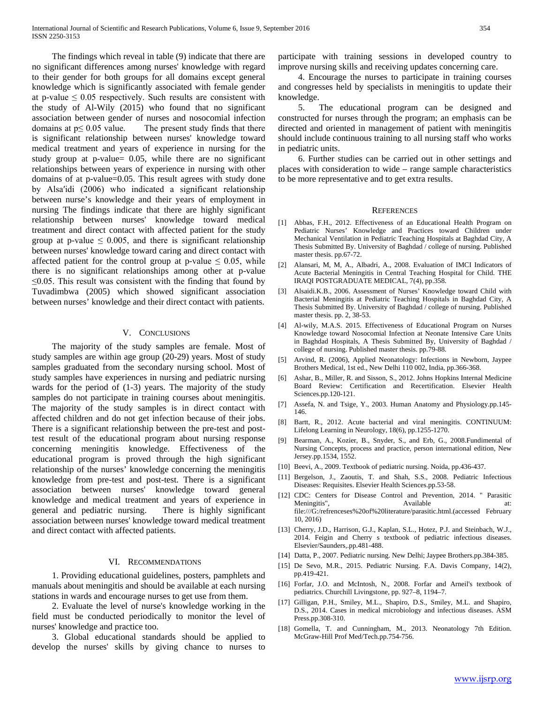The findings which reveal in table (9) indicate that there are no significant differences among nurses' knowledge with regard to their gender for both groups for all domains except general knowledge which is significantly associated with female gender at p-value  $\leq 0.05$  respectively. Such results are consistent with the study of Al-Wily (2015) who found that no significant association between gender of nurses and nosocomial infection domains at  $p \le 0.05$  value. The present study finds that there is significant relationship between nurses' knowledge toward medical treatment and years of experience in nursing for the study group at p-value= 0.05, while there are no significant relationships between years of experience in nursing with other domains of at p-value=0.05. This result agrees with study done by Alsa′idi (2006) who indicated a significant relationship between nurse's knowledge and their years of employment in nursing The findings indicate that there are highly significant relationship between nurses' knowledge toward medical treatment and direct contact with affected patient for the study group at p-value  $\leq 0.005$ , and there is significant relationship between nurses' knowledge toward caring and direct contact with affected patient for the control group at p-value  $\leq 0.05$ , while there is no significant relationships among other at p-value  $\leq$ 0.05. This result was consistent with the finding that found by Tuvadimbwa (2005) which showed significant association between nurses' knowledge and their direct contact with patients.

#### V. CONCLUSIONS

 The majority of the study samples are female. Most of study samples are within age group (20-29) years. Most of study samples graduated from the secondary nursing school. Most of study samples have experiences in nursing and pediatric nursing wards for the period of (1-3) years. The majority of the study samples do not participate in training courses about meningitis. The majority of the study samples is in direct contact with affected children and do not get infection because of their jobs. There is a significant relationship between the pre-test and posttest result of the educational program about nursing response concerning meningitis knowledge. Effectiveness of the educational program is proved through the high significant relationship of the nurses' knowledge concerning the meningitis knowledge from pre-test and post-test. There is a significant association between nurses' knowledge toward general knowledge and medical treatment and years of experience in general and pediatric nursing. There is highly significant association between nurses' knowledge toward medical treatment and direct contact with affected patients.

#### VI. RECOMMENDATIONS

 1. Providing educational guidelines, posters, pamphlets and manuals about meningitis and should be available at each nursing stations in wards and encourage nurses to get use from them.

 2. Evaluate the level of nurse's knowledge working in the field must be conducted periodically to monitor the level of nurses' knowledge and practice too.

 3. Global educational standards should be applied to develop the nurses' skills by giving chance to nurses to participate with training sessions in developed country to improve nursing skills and receiving updates concerning care.

 4. Encourage the nurses to participate in training courses and congresses held by specialists in meningitis to update their knowledge.

 5. The educational program can be designed and constructed for nurses through the program; an emphasis can be directed and oriented in management of patient with meningitis should include continuous training to all nursing staff who works in pediatric units.

 6. Further studies can be carried out in other settings and places with consideration to wide – range sample characteristics to be more representative and to get extra results.

#### **REFERENCES**

- [1] Abbas, F.H., 2012. Effectiveness of an Educational Health Program on Pediatric Nurses' Knowledge and Practices toward Children under Mechanical Ventilation in Pediatric Teaching Hospitals at Baghdad City, A Thesis Submitted By. University of Baghdad / college of nursing. Published master thesis. pp.67-72.
- [2] Alansari, M, M, A., Albadri, A., 2008. Evaluation of IMCI Indicators of Acute Bacterial Meningitis in Central Teaching Hospital for Child. THE IRAQI POSTGRADUATE MEDICAL, 7(4), pp.358.
- [3] Alsaidi.K.B., 2006. Assessment of Nurses' Knowledge toward Child with Bacterial Meningitis at Pediatric Teaching Hospitals in Baghdad City, A Thesis Submitted By. University of Baghdad / college of nursing. Published master thesis. pp. 2, 38-53.
- [4] Al-wily, M.A.S. 2015. Effectiveness of Educational Program on Nurses Knowledge toward Nosocomial Infection at Neonate Intensive Care Units in Baghdad Hospitals, A Thesis Submitted By, University of Baghdad / college of nursing. Published master thesis. pp.79-88.
- [5] Arvind, R. (2006), Applied Neonatology: Infections in Newborn, Jaypee Brothers Medical, 1st ed., New Delhi 110 002, India, pp.366-368.
- [6] Ashar, B., Miller, R. and Sisson, S., 2012. Johns Hopkins Internal Medicine Board Review: Certification and Recertification. Elsevier Health Sciences.pp.120-121.
- [7] Assefa, N. and Tsige, Y., 2003. Human Anatomy and Physiology.pp.145- 146.
- [8] Bartt, R., 2012. Acute bacterial and viral meningitis. CONTINUUM: Lifelong Learning in Neurology, 18(6), pp.1255-1270.
- [9] Bearman, A., Kozier, B., Snyder, S., and Erb, G., 2008.Fundimental of Nursing Concepts, process and practice, person international edition, New Jersey.pp.1534, 1552.
- [10] Beevi, A., 2009. Textbook of pediatric nursing. Noida, pp.436-437.
- [11] Bergelson, J., Zaoutis, T. and Shah, S.S., 2008. Pediatric Infectious Diseases: Requisites. Elsevier Health Sciences.pp.53-58.
- [12] CDC: Centers for Disease Control and Prevention, 2014. " Parasitic Meningitis",  $\Delta$ vailable at: file:///G:/refrenceses%20of%20literature/parasitic.html.(accessed February 10, 2016)
- [13] Cherry, J.D., Harrison, G.J., Kaplan, S.L., Hotez, P.J. and Steinbach, W.J., 2014. Feigin and Cherry s textbook of pediatric infectious diseases. Elsevier/Saunders,.pp.481-488.
- [14] Datta, P., 2007. Pediatric nursing. New Delhi; Jaypee Brothers.pp.384-385.
- [15] De Sevo, M.R., 2015. Pediatric Nursing. F.A. Davis Company, 14(2), pp.419-421.
- [16] Forfar, J.O. and McIntosh, N., 2008. Forfar and Arneil's textbook of pediatrics. Churchill Livingstone, pp. 927–8, 1194–7.
- [17] Gilligan, P.H., Smiley, M.L., Shapiro, D.S., Smiley, M.L. and Shapiro, D.S., 2014. Cases in medical microbiology and infectious diseases. ASM Press.pp.308-310.
- [18] Gomella, T. and Cunningham, M., 2013. Neonatology 7th Edition. McGraw-Hill Prof Med/Tech.pp.754-756.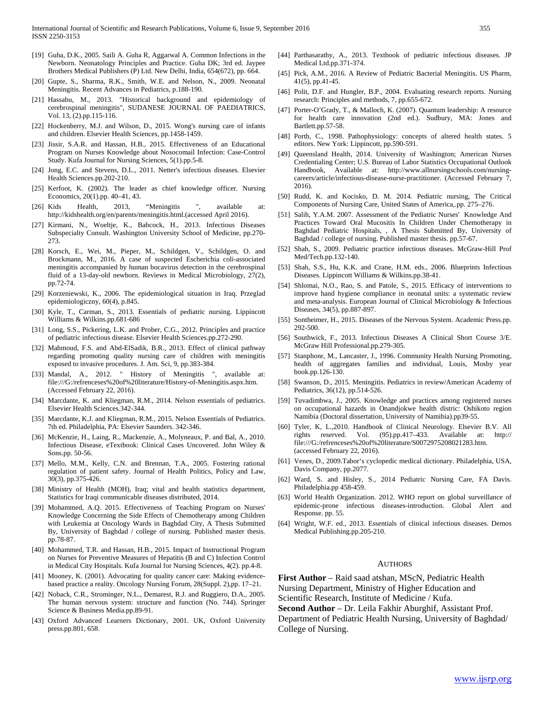- [19] Guha, D.K., 2005. Saili A. Guha R, Aggarwal A. Common Infections in the Newborn. Neonatology Principles and Practice. Guha DK; 3rd ed. Jaypee Brothers Medical Publishers (P) Ltd. New Delhi, India, 654(672), pp. 664.
- [20] Gupte, S., Sharma, R.K., Smith, W.E. and Nelson, N., 2009. Neonatal Meningitis. Recent Advances in Pediatrics, p.188-190.
- [21] Hassabu, M., 2013. "Historical background and epidemiology of cerebrospinal meningitis", SUDANESE JOURNAL OF PAEDIATRICS, Vol. 13, (2).pp.115-116.
- [22] Hockenberry, M.J. and Wilson, D., 2015. Wong's nursing care of infants and children. Elsevier Health Sciences, pp.1458-1459.
- [23] Jissir, S.A.R. and Hassan, H.B., 2015. Effectiveness of an Educational Program on Nurses Knowledge about Nosocomail Infection: Case-Control Study. Kufa Journal for Nursing Sciences, 5(1).pp.5-8.
- [24] Jong, E.C. and Stevens, D.L., 2011. Netter's infectious diseases. Elsevier Health Sciences.pp.202-210.
- [25] Kerfoot, K. (2002). The leader as chief knowledge officer. Nursing Economics, 20(1).pp. 40–41, 43.
- [26] Kids Health, 2013, "Meningitis ", available at: http://kidshealth.org/en/parents/meningitis.html.(accessed April 2016).
- [27] Kirmani, N., Woeltje, K., Babcock, H., 2013. Infectious Diseases Subspecialty Consult. Washington University School of Medicine, pp.270- 273.
- [28] Korsch, E., Wei, M., Pieper, M., Schildgen, V., Schildgen, O. and Brockmann, M., 2016. A case of suspected Escherichia coli-associated meningitis accompanied by human bocavirus detection in the cerebrospinal fluid of a 13-day-old newborn. Reviews in Medical Microbiology, 27(2), pp.72-74.
- [29] Korzeniewski, K., 2006. The epidemiological situation in Iraq. Przeglad epidemiologiczny, 60(4), p.845.
- [30] Kyle, T., Carman, S., 2013. Essentials of pediatric nursing. Lippincott Williams & Wilkins.pp.681-686
- [31] Long, S.S., Pickering, L.K. and Prober, C.G., 2012. Principles and practice of pediatric infectious disease. Elsevier Health Sciences.pp.272-290.
- [32] Mahmoud, F.S. and Abd-ElSadik, B.R., 2013. Effect of clinical pathway regarding promoting quality nursing care of children with meningitis exposed to invasive procedures. J. Am. Sci, 9, pp.383-384.
- [33] Mandal, A., 2012. " History of Meningitis ", available at: file:///G:/refrenceses%20of%20literature/History-of-Meningitis.aspx.htm. (Accessed February 22, 2016).
- [34] Marcdante, K. and Kliegman, R.M., 2014. Nelson essentials of pediatrics. Elsevier Health Sciences.342-344.
- [35] Marcdante, K.J. and Kliegman, R.M., 2015. Nelson Essentials of Pediatrics. 7th ed. Philadelphia, PA: Elsevier Saunders. 342-346.
- [36] McKenzie, H., Laing, R., Mackenzie, A., Molyneaux, P. and Bal, A., 2010. Infectious Disease, eTextbook: Clinical Cases Uncovered. John Wiley & Sons.pp. 50-56.
- [37] Mello, M.M., Kelly, C.N. and Brennan, T.A., 2005. Fostering rational regulation of patient safety. Journal of Health Politics, Policy and Law, 30(3), pp.375-426.
- [38] Ministry of Health (MOH), Iraq; vital and health statistics department, Statistics for Iraqi communicable diseases distributed, 2014.
- [39] Mohammed, A.Q. 2015. Effectiveness of Teaching Program on Nurses' Knowledge Concerning the Side Effects of Chemotherapy among Children with Leukemia at Oncology Wards in Baghdad City, A Thesis Submitted By, University of Baghdad / college of nursing. Published master thesis. pp.78-87.
- [40] Mohammed, T.R. and Hassan, H.B., 2015. Impact of Instructional Program on Nurses for Preventive Measures of Hepatitis (B and C) Infection Control in Medical City Hospitals. Kufa Journal for Nursing Sciences, 4(2). pp.4-8.
- [41] Mooney, K. (2001). Advocating for quality cancer care: Making evidencebased practice a reality. Oncology Nursing Forum, 28(Suppl. 2),pp. 17–21.
- [42] Noback, C.R., Strominger, N.L., Demarest, R.J. and Ruggiero, D.A., 2005. The human nervous system: structure and function (No. 744). Springer Science & Business Media.pp.89-91.
- [43] Oxford Advanced Learners Dictionary, 2001. UK, Oxford University press.pp.801, 658.
- [44] Parthasarathy, A., 2013. Textbook of pediatric infectious diseases. JP Medical Ltd.pp.371-374.
- [45] Pick, A.M., 2016. A Review of Pediatric Bacterial Meningitis. US Pharm, 41(5), pp.41-45.
- [46] Polit, D.F. and Hungler, B.P., 2004. Evaluating research reports. Nursing research: Principles and methods, 7, pp.655-672.
- [47] Porter-O'Grady, T., & Malloch, K. (2007). Quantum leadership: A resource for health care innovation (2nd ed.). Sudbury, MA: Jones and Bartlett.pp.57-58.
- [48] Porth, C., 1998. Pathophysiology: concepts of altered health states. 5 editors. New York: Lippincott, pp.590-591.
- [49] Queensland Health, 2014. University of Washington; American Nurses Credentialing Center; U.S. Bureau of Labor Statistics Occupational Outlook Handbook, Available at: http://www.allnursingschools.com/nursingcareers/article/infectious-disease-nurse-practitioner. (Accessed February 7, 2016).
- [50] Rudd, K. and Kocisko, D. M. 2014. Pediatric nursing, The Critical Components of Nursing Care, United States of America,.pp. 275–276.
- [51] Salih, Y.A.M. 2007. Assessment of the Pediatric Nurses' Knowledge And Practices Toward Oral Mucositis In Children Under Chemotherapy in Baghdad Pediatric Hospitals, , A Thesis Submitted By, University of Baghdad / college of nursing. Published master thesis. pp.57-67.
- [52] Shah, S., 2009. Pediatric practice infectious diseases. McGraw-Hill Prof Med/Tech.pp.132-140.
- [53] Shah, S.S., Hu, K.K. and Crane, H.M. eds., 2006. Blueprints Infectious Diseases. Lippincott Williams & Wilkins.pp.38-41.
- [54] Shlomai, N.O., Rao, S. and Patole, S., 2015. Efficacy of interventions to improve hand hygiene compliance in neonatal units: a systematic review and meta-analysis. European Journal of Clinical Microbiology & Infectious Diseases, 34(5), pp.887-897.
- [55] Sontheimer, H., 2015. Diseases of the Nervous System. Academic Press.pp. 292-500.
- [56] Southwick, F., 2013. Infectious Diseases A Clinical Short Course 3/E. McGraw Hill Professional.pp.279-305.
- [57] Stanphonr, M., Lancaster, J., 1996. Community Health Nursing Promoting, health of aggregates families and individual, Louis, Mosby year book.pp.126-130.
- [58] Swanson, D., 2015. Meningitis. Pediatrics in review/American Academy of Pediatrics, 36(12), pp.514-526.
- [59] Tuvadimbwa, J., 2005. Knowledge and practices among registered nurses on occupational hazards in Onandjokwe health distric: Oshikoto region Namibia (Doctoral dissertation, University of Namibia).pp39-55.
- [60] Tyler, K, L.,2010. Handbook of Clinical Neurology. Elsevier B.V. All rights reserved. Vol. (95).pp.417–433. Available at: http:// file:///G:/refrenceses%20of%20literature/S0072975208021283.htm. (accessed February 22, 2016).
- [61] Venes, D., 2009.Tabor's cyclopedic medical dictionary. Philadelphia, USA, Davis Company, pp.2077.
- [62] Ward, S. and Hisley, S., 2014 Pediatric Nursing Care, FA Davis. Philadelphia.pp 458-459.
- [63] World Health Organization. 2012. WHO report on global surveillance of epidemic-prone infectious diseases-introduction. Global Alert and Response. pp. 55.
- [64] Wright, W.F. ed., 2013. Essentials of clinical infectious diseases. Demos Medical Publishing.pp.205-210.

#### **AUTHORS**

**First Author** – Raid saad atshan, MScN, Pediatric Health Nursing Department, Ministry of Higher Education and Scientific Research, Institute of Medicine / Kufa. **Second Author** – Dr. Leila Fakhir Aburghif, Assistant Prof.

Department of Pediatric Health Nursing, University of Baghdad/ College of Nursing.